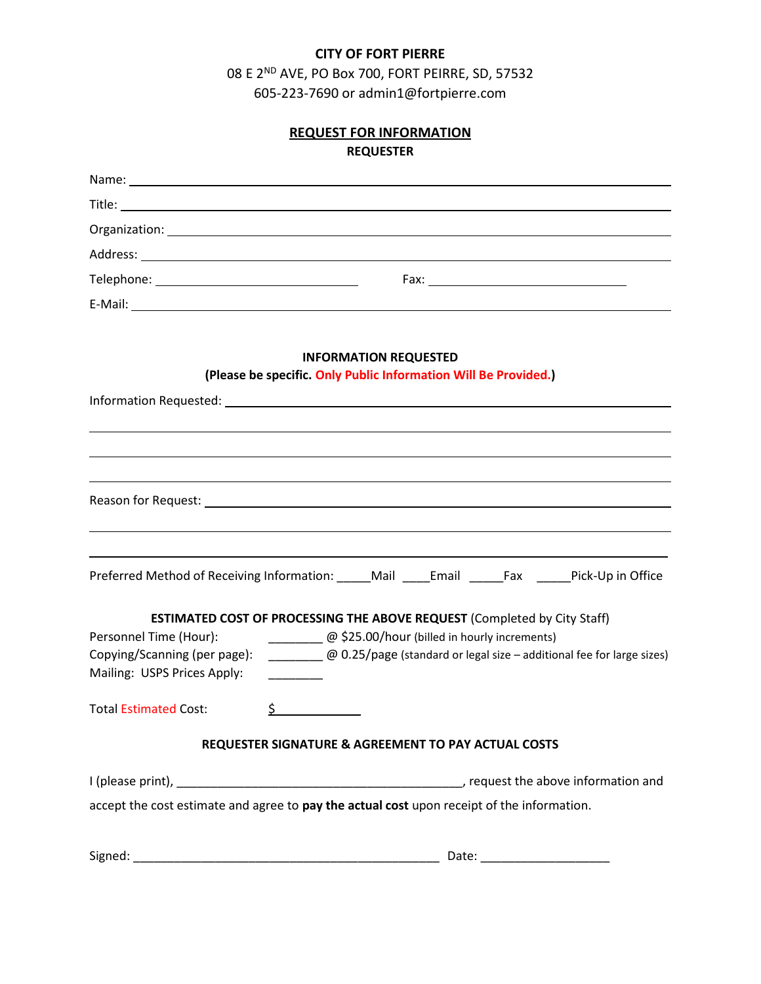## **CITY OF FORT PIERRE**

08 E 2ND AVE, PO Box 700, FORT PEIRRE, SD, 57532 605-223-7690 or admin1@fortpierre.com

| <b>REQUEST FOR INFORMATION</b><br><b>REQUESTER</b> |                                                                                                                |  |  |  |
|----------------------------------------------------|----------------------------------------------------------------------------------------------------------------|--|--|--|
|                                                    |                                                                                                                |  |  |  |
|                                                    |                                                                                                                |  |  |  |
|                                                    |                                                                                                                |  |  |  |
|                                                    |                                                                                                                |  |  |  |
|                                                    |                                                                                                                |  |  |  |
|                                                    |                                                                                                                |  |  |  |
|                                                    | <b>INFORMATION REQUESTED</b><br>(Please be specific. Only Public Information Will Be Provided.)                |  |  |  |
|                                                    |                                                                                                                |  |  |  |
|                                                    |                                                                                                                |  |  |  |
|                                                    |                                                                                                                |  |  |  |
|                                                    |                                                                                                                |  |  |  |
|                                                    |                                                                                                                |  |  |  |
|                                                    |                                                                                                                |  |  |  |
|                                                    |                                                                                                                |  |  |  |
|                                                    | Preferred Method of Receiving Information: Mail Email Fax Pick-Up in Office                                    |  |  |  |
|                                                    | <b>ESTIMATED COST OF PROCESSING THE ABOVE REQUEST (Completed by City Staff)</b>                                |  |  |  |
| Personnel Time (Hour):                             | @ \$25.00/hour (billed in hourly increments)                                                                   |  |  |  |
|                                                    | Copying/Scanning (per page): ____________@ 0.25/page (standard or legal size - additional fee for large sizes) |  |  |  |
| Mailing: USPS Prices Apply:                        |                                                                                                                |  |  |  |
| <b>Total Estimated Cost:</b>                       | $\frac{1}{2}$                                                                                                  |  |  |  |
|                                                    | REQUESTER SIGNATURE & AGREEMENT TO PAY ACTUAL COSTS                                                            |  |  |  |
|                                                    |                                                                                                                |  |  |  |
|                                                    | accept the cost estimate and agree to pay the actual cost upon receipt of the information.                     |  |  |  |
|                                                    |                                                                                                                |  |  |  |
|                                                    | Date: ________________________                                                                                 |  |  |  |